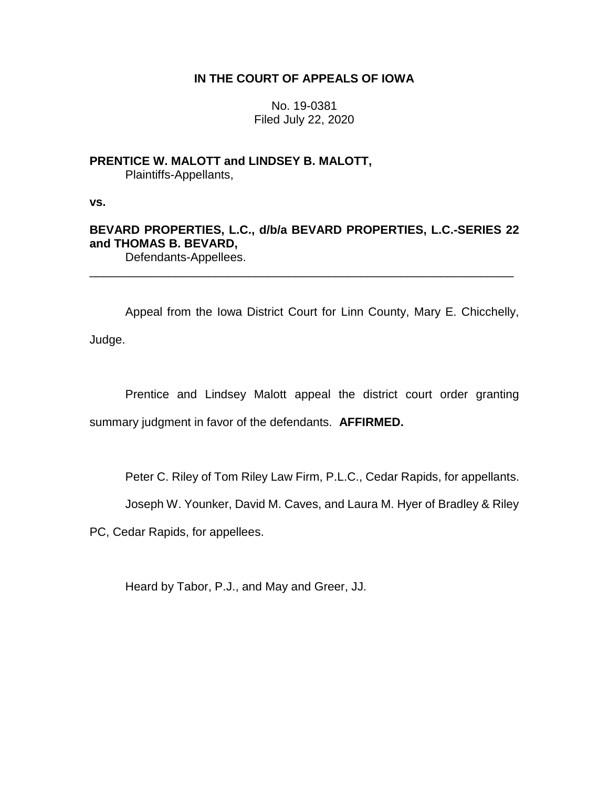### **IN THE COURT OF APPEALS OF IOWA**

No. 19-0381 Filed July 22, 2020

**PRENTICE W. MALOTT and LINDSEY B. MALOTT,** Plaintiffs-Appellants,

**vs.**

## **BEVARD PROPERTIES, L.C., d/b/a BEVARD PROPERTIES, L.C.-SERIES 22 and THOMAS B. BEVARD,**

\_\_\_\_\_\_\_\_\_\_\_\_\_\_\_\_\_\_\_\_\_\_\_\_\_\_\_\_\_\_\_\_\_\_\_\_\_\_\_\_\_\_\_\_\_\_\_\_\_\_\_\_\_\_\_\_\_\_\_\_\_\_\_\_

Defendants-Appellees.

Appeal from the Iowa District Court for Linn County, Mary E. Chicchelly, Judge.

Prentice and Lindsey Malott appeal the district court order granting summary judgment in favor of the defendants. **AFFIRMED.**

Peter C. Riley of Tom Riley Law Firm, P.L.C., Cedar Rapids, for appellants.

Joseph W. Younker, David M. Caves, and Laura M. Hyer of Bradley & Riley

PC, Cedar Rapids, for appellees.

Heard by Tabor, P.J., and May and Greer, JJ.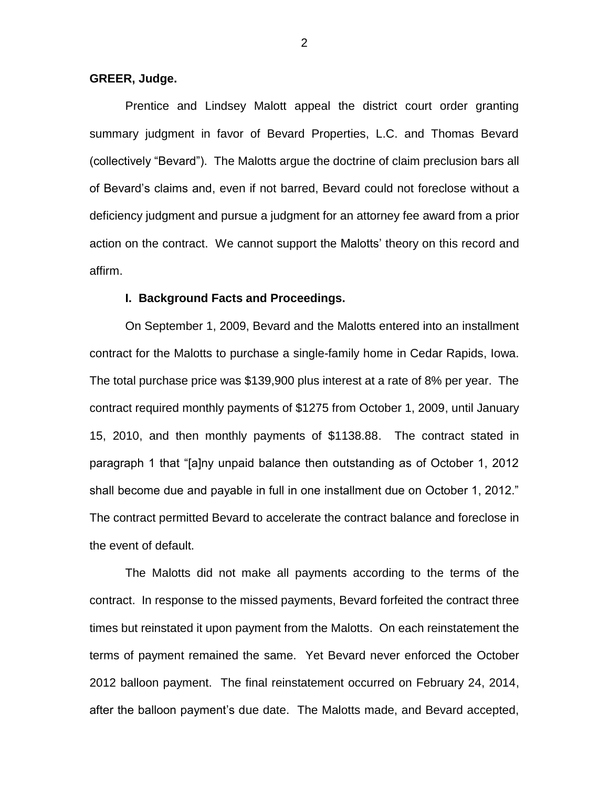#### **GREER, Judge.**

Prentice and Lindsey Malott appeal the district court order granting summary judgment in favor of Bevard Properties, L.C. and Thomas Bevard (collectively "Bevard"). The Malotts argue the doctrine of claim preclusion bars all of Bevard's claims and, even if not barred, Bevard could not foreclose without a deficiency judgment and pursue a judgment for an attorney fee award from a prior action on the contract. We cannot support the Malotts' theory on this record and affirm.

#### **I. Background Facts and Proceedings.**

On September 1, 2009, Bevard and the Malotts entered into an installment contract for the Malotts to purchase a single-family home in Cedar Rapids, Iowa. The total purchase price was \$139,900 plus interest at a rate of 8% per year. The contract required monthly payments of \$1275 from October 1, 2009, until January 15, 2010, and then monthly payments of \$1138.88. The contract stated in paragraph 1 that "[a]ny unpaid balance then outstanding as of October 1, 2012 shall become due and payable in full in one installment due on October 1, 2012." The contract permitted Bevard to accelerate the contract balance and foreclose in the event of default.

The Malotts did not make all payments according to the terms of the contract. In response to the missed payments, Bevard forfeited the contract three times but reinstated it upon payment from the Malotts. On each reinstatement the terms of payment remained the same. Yet Bevard never enforced the October 2012 balloon payment. The final reinstatement occurred on February 24, 2014, after the balloon payment's due date. The Malotts made, and Bevard accepted,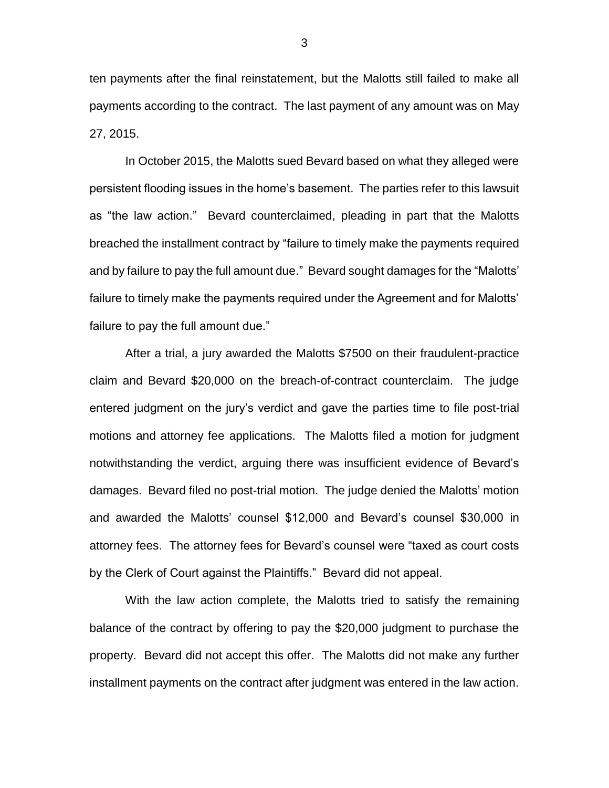ten payments after the final reinstatement, but the Malotts still failed to make all payments according to the contract. The last payment of any amount was on May 27, 2015.

In October 2015, the Malotts sued Bevard based on what they alleged were persistent flooding issues in the home's basement. The parties refer to this lawsuit as "the law action." Bevard counterclaimed, pleading in part that the Malotts breached the installment contract by "failure to timely make the payments required and by failure to pay the full amount due." Bevard sought damages for the "Malotts' failure to timely make the payments required under the Agreement and for Malotts' failure to pay the full amount due."

After a trial, a jury awarded the Malotts \$7500 on their fraudulent-practice claim and Bevard \$20,000 on the breach-of-contract counterclaim. The judge entered judgment on the jury's verdict and gave the parties time to file post-trial motions and attorney fee applications. The Malotts filed a motion for judgment notwithstanding the verdict, arguing there was insufficient evidence of Bevard's damages. Bevard filed no post-trial motion. The judge denied the Malotts' motion and awarded the Malotts' counsel \$12,000 and Bevard's counsel \$30,000 in attorney fees. The attorney fees for Bevard's counsel were "taxed as court costs by the Clerk of Court against the Plaintiffs." Bevard did not appeal.

With the law action complete, the Malotts tried to satisfy the remaining balance of the contract by offering to pay the \$20,000 judgment to purchase the property. Bevard did not accept this offer. The Malotts did not make any further installment payments on the contract after judgment was entered in the law action.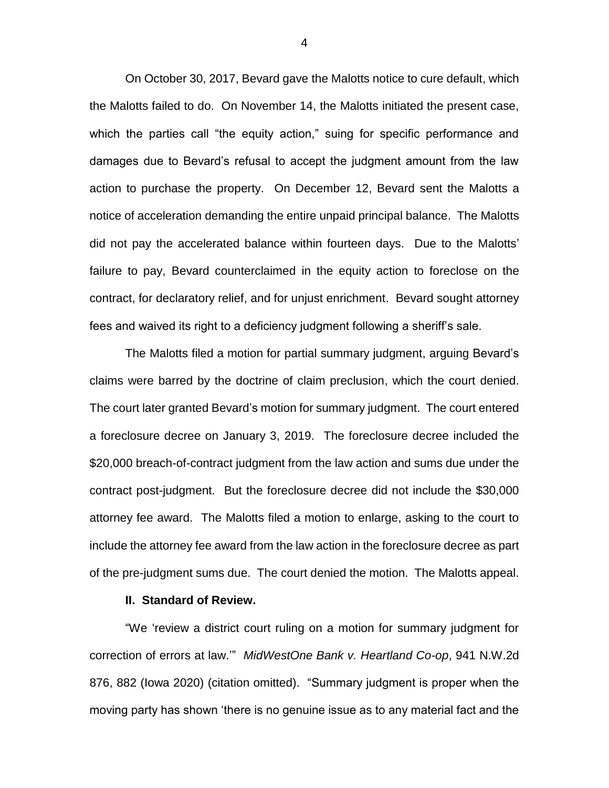On October 30, 2017, Bevard gave the Malotts notice to cure default, which the Malotts failed to do. On November 14, the Malotts initiated the present case, which the parties call "the equity action," suing for specific performance and damages due to Bevard's refusal to accept the judgment amount from the law action to purchase the property. On December 12, Bevard sent the Malotts a notice of acceleration demanding the entire unpaid principal balance. The Malotts did not pay the accelerated balance within fourteen days. Due to the Malotts' failure to pay, Bevard counterclaimed in the equity action to foreclose on the contract, for declaratory relief, and for unjust enrichment. Bevard sought attorney fees and waived its right to a deficiency judgment following a sheriff's sale.

The Malotts filed a motion for partial summary judgment, arguing Bevard's claims were barred by the doctrine of claim preclusion, which the court denied. The court later granted Bevard's motion for summary judgment. The court entered a foreclosure decree on January 3, 2019. The foreclosure decree included the \$20,000 breach-of-contract judgment from the law action and sums due under the contract post-judgment. But the foreclosure decree did not include the \$30,000 attorney fee award. The Malotts filed a motion to enlarge, asking to the court to include the attorney fee award from the law action in the foreclosure decree as part of the pre-judgment sums due. The court denied the motion. The Malotts appeal.

#### **II. Standard of Review.**

"We 'review a district court ruling on a motion for summary judgment for correction of errors at law.'" *MidWestOne Bank v. Heartland Co-op*, 941 N.W.2d 876, 882 (Iowa 2020) (citation omitted). "Summary judgment is proper when the moving party has shown 'there is no genuine issue as to any material fact and the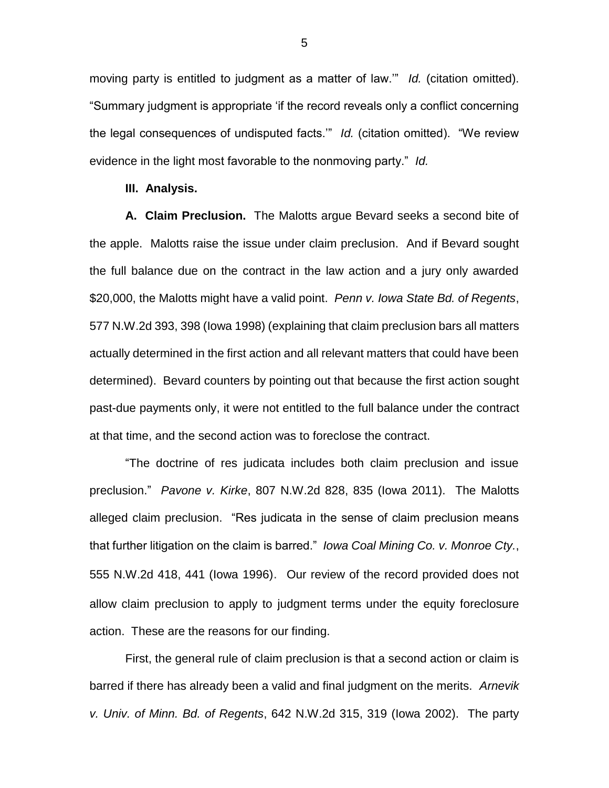moving party is entitled to judgment as a matter of law.'" *Id.* (citation omitted). "Summary judgment is appropriate 'if the record reveals only a conflict concerning the legal consequences of undisputed facts.'" *Id.* (citation omitted). "We review evidence in the light most favorable to the nonmoving party." *Id.*

#### **III. Analysis.**

**A. Claim Preclusion.** The Malotts argue Bevard seeks a second bite of the apple. Malotts raise the issue under claim preclusion. And if Bevard sought the full balance due on the contract in the law action and a jury only awarded \$20,000, the Malotts might have a valid point. *Penn v. Iowa State Bd. of Regents*, 577 N.W.2d 393, 398 (Iowa 1998) (explaining that claim preclusion bars all matters actually determined in the first action and all relevant matters that could have been determined). Bevard counters by pointing out that because the first action sought past-due payments only, it were not entitled to the full balance under the contract at that time, and the second action was to foreclose the contract.

"The doctrine of res judicata includes both claim preclusion and issue preclusion." *Pavone v. Kirke*, 807 N.W.2d 828, 835 (Iowa 2011). The Malotts alleged claim preclusion. "Res judicata in the sense of claim preclusion means that further litigation on the claim is barred." *Iowa Coal Mining Co. v. Monroe Cty.*, 555 N.W.2d 418, 441 (Iowa 1996). Our review of the record provided does not allow claim preclusion to apply to judgment terms under the equity foreclosure action. These are the reasons for our finding.

First, the general rule of claim preclusion is that a second action or claim is barred if there has already been a valid and final judgment on the merits. *Arnevik v. Univ. of Minn. Bd. of Regents*, 642 N.W.2d 315, 319 (Iowa 2002). The party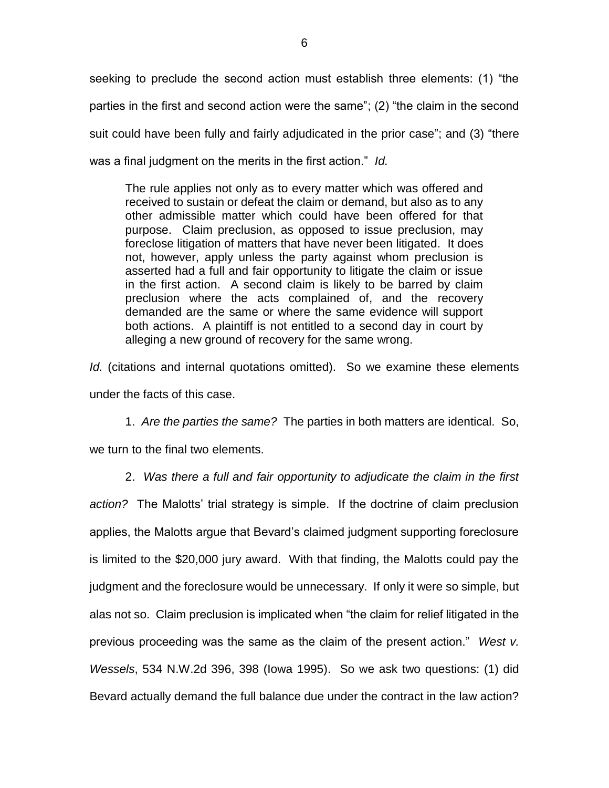seeking to preclude the second action must establish three elements: (1) "the parties in the first and second action were the same"; (2) "the claim in the second suit could have been fully and fairly adjudicated in the prior case"; and (3) "there was a final judgment on the merits in the first action." *Id.*

The rule applies not only as to every matter which was offered and received to sustain or defeat the claim or demand, but also as to any other admissible matter which could have been offered for that purpose. Claim preclusion, as opposed to issue preclusion, may foreclose litigation of matters that have never been litigated. It does not, however, apply unless the party against whom preclusion is asserted had a full and fair opportunity to litigate the claim or issue in the first action. A second claim is likely to be barred by claim preclusion where the acts complained of, and the recovery demanded are the same or where the same evidence will support both actions. A plaintiff is not entitled to a second day in court by alleging a new ground of recovery for the same wrong.

*Id.* (citations and internal quotations omitted). So we examine these elements under the facts of this case.

1. *Are the parties the same?* The parties in both matters are identical. So,

we turn to the final two elements.

2. *Was there a full and fair opportunity to adjudicate the claim in the first action?* The Malotts' trial strategy is simple. If the doctrine of claim preclusion applies, the Malotts argue that Bevard's claimed judgment supporting foreclosure is limited to the \$20,000 jury award. With that finding, the Malotts could pay the judgment and the foreclosure would be unnecessary. If only it were so simple, but alas not so. Claim preclusion is implicated when "the claim for relief litigated in the previous proceeding was the same as the claim of the present action." *West v. Wessels*, 534 N.W.2d 396, 398 (Iowa 1995). So we ask two questions: (1) did Bevard actually demand the full balance due under the contract in the law action?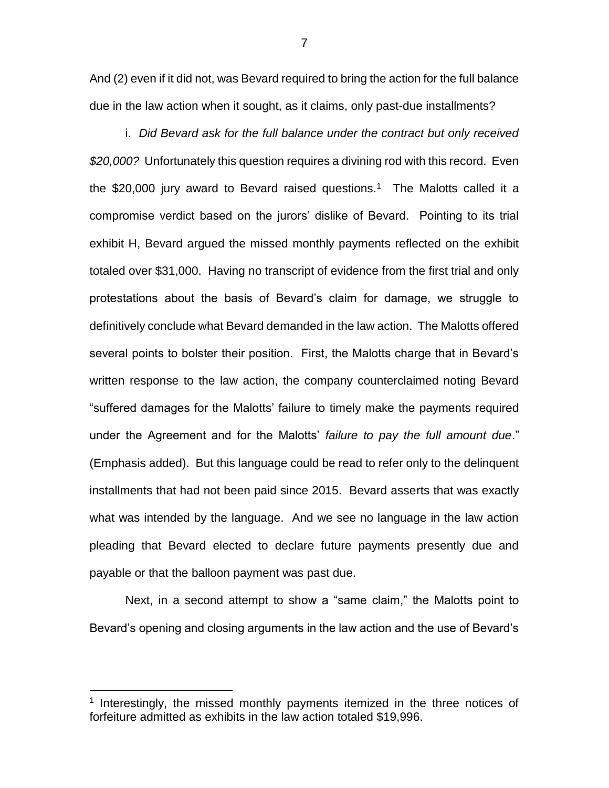And (2) even if it did not, was Bevard required to bring the action for the full balance due in the law action when it sought, as it claims, only past-due installments?

i. *Did Bevard ask for the full balance under the contract but only received \$20,000?* Unfortunately this question requires a divining rod with this record. Even the \$20,000 jury award to Bevard raised questions.<sup>1</sup> The Malotts called it a compromise verdict based on the jurors' dislike of Bevard. Pointing to its trial exhibit H, Bevard argued the missed monthly payments reflected on the exhibit totaled over \$31,000. Having no transcript of evidence from the first trial and only protestations about the basis of Bevard's claim for damage, we struggle to definitively conclude what Bevard demanded in the law action. The Malotts offered several points to bolster their position. First, the Malotts charge that in Bevard's written response to the law action, the company counterclaimed noting Bevard "suffered damages for the Malotts' failure to timely make the payments required under the Agreement and for the Malotts' *failure to pay the full amount due*." (Emphasis added). But this language could be read to refer only to the delinquent installments that had not been paid since 2015. Bevard asserts that was exactly what was intended by the language. And we see no language in the law action pleading that Bevard elected to declare future payments presently due and payable or that the balloon payment was past due.

Next, in a second attempt to show a "same claim," the Malotts point to Bevard's opening and closing arguments in the law action and the use of Bevard's

 $\overline{a}$ 

<sup>&</sup>lt;sup>1</sup> Interestingly, the missed monthly payments itemized in the three notices of forfeiture admitted as exhibits in the law action totaled \$19,996.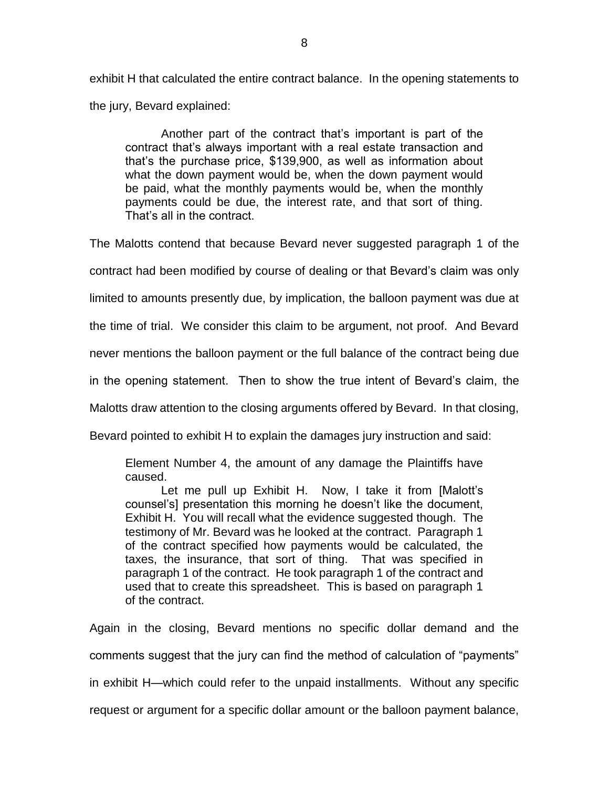exhibit H that calculated the entire contract balance. In the opening statements to the jury, Bevard explained:

Another part of the contract that's important is part of the contract that's always important with a real estate transaction and that's the purchase price, \$139,900, as well as information about what the down payment would be, when the down payment would be paid, what the monthly payments would be, when the monthly payments could be due, the interest rate, and that sort of thing. That's all in the contract.

The Malotts contend that because Bevard never suggested paragraph 1 of the

contract had been modified by course of dealing or that Bevard's claim was only

limited to amounts presently due, by implication, the balloon payment was due at

the time of trial. We consider this claim to be argument, not proof. And Bevard

never mentions the balloon payment or the full balance of the contract being due

in the opening statement. Then to show the true intent of Bevard's claim, the

Malotts draw attention to the closing arguments offered by Bevard. In that closing,

Bevard pointed to exhibit H to explain the damages jury instruction and said:

Element Number 4, the amount of any damage the Plaintiffs have caused.

Let me pull up Exhibit H. Now, I take it from [Malott's counsel's] presentation this morning he doesn't like the document, Exhibit H. You will recall what the evidence suggested though. The testimony of Mr. Bevard was he looked at the contract. Paragraph 1 of the contract specified how payments would be calculated, the taxes, the insurance, that sort of thing. That was specified in paragraph 1 of the contract. He took paragraph 1 of the contract and used that to create this spreadsheet. This is based on paragraph 1 of the contract.

Again in the closing, Bevard mentions no specific dollar demand and the comments suggest that the jury can find the method of calculation of "payments" in exhibit H—which could refer to the unpaid installments. Without any specific request or argument for a specific dollar amount or the balloon payment balance,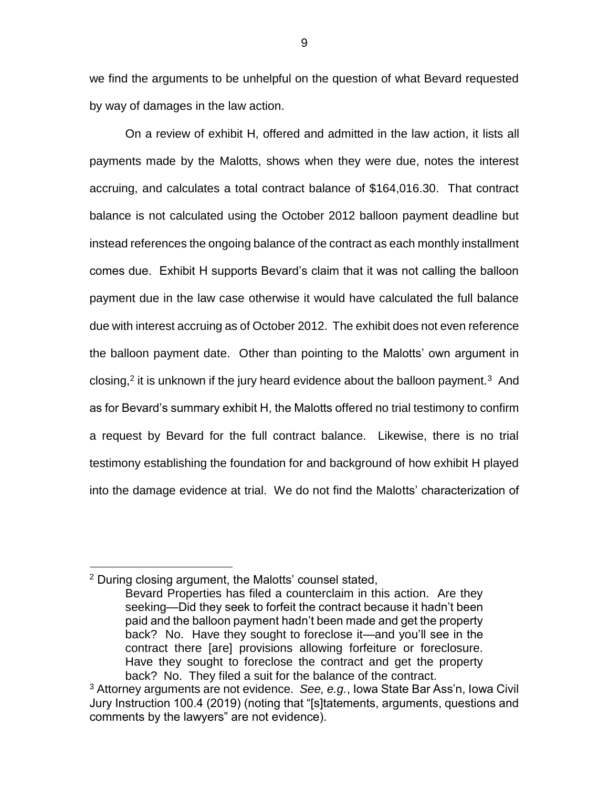we find the arguments to be unhelpful on the question of what Bevard requested by way of damages in the law action.

On a review of exhibit H, offered and admitted in the law action, it lists all payments made by the Malotts, shows when they were due, notes the interest accruing, and calculates a total contract balance of \$164,016.30. That contract balance is not calculated using the October 2012 balloon payment deadline but instead references the ongoing balance of the contract as each monthly installment comes due. Exhibit H supports Bevard's claim that it was not calling the balloon payment due in the law case otherwise it would have calculated the full balance due with interest accruing as of October 2012. The exhibit does not even reference the balloon payment date. Other than pointing to the Malotts' own argument in closing,<sup>2</sup> it is unknown if the jury heard evidence about the balloon payment.<sup>3</sup> And as for Bevard's summary exhibit H, the Malotts offered no trial testimony to confirm a request by Bevard for the full contract balance. Likewise, there is no trial testimony establishing the foundation for and background of how exhibit H played into the damage evidence at trial. We do not find the Malotts' characterization of

 $\overline{a}$ 

<sup>2</sup> During closing argument, the Malotts' counsel stated,

Bevard Properties has filed a counterclaim in this action. Are they seeking—Did they seek to forfeit the contract because it hadn't been paid and the balloon payment hadn't been made and get the property back? No. Have they sought to foreclose it—and you'll see in the contract there [are] provisions allowing forfeiture or foreclosure. Have they sought to foreclose the contract and get the property back? No. They filed a suit for the balance of the contract.

<sup>3</sup> Attorney arguments are not evidence. *See, e.g.*, Iowa State Bar Ass'n, Iowa Civil Jury Instruction 100.4 (2019) (noting that "[s]tatements, arguments, questions and comments by the lawyers" are not evidence).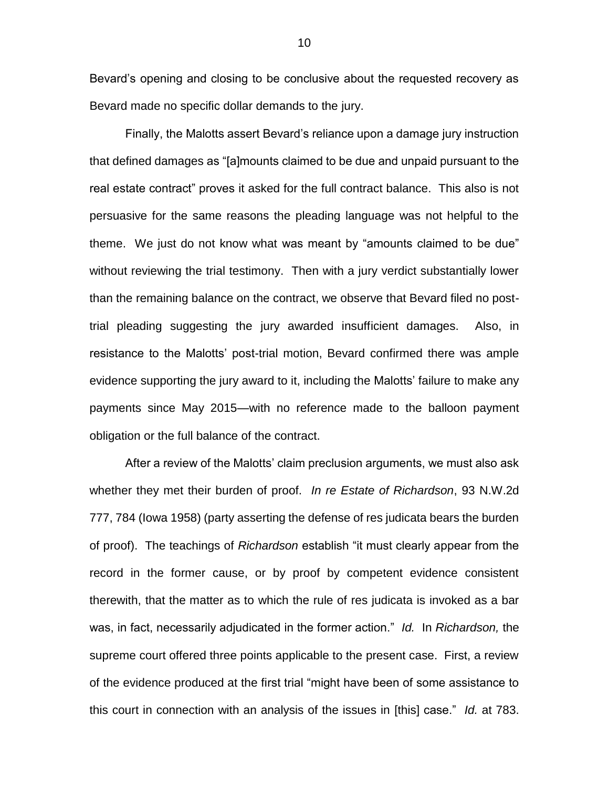Bevard's opening and closing to be conclusive about the requested recovery as Bevard made no specific dollar demands to the jury.

Finally, the Malotts assert Bevard's reliance upon a damage jury instruction that defined damages as "[a]mounts claimed to be due and unpaid pursuant to the real estate contract" proves it asked for the full contract balance. This also is not persuasive for the same reasons the pleading language was not helpful to the theme. We just do not know what was meant by "amounts claimed to be due" without reviewing the trial testimony. Then with a jury verdict substantially lower than the remaining balance on the contract, we observe that Bevard filed no posttrial pleading suggesting the jury awarded insufficient damages. Also, in resistance to the Malotts' post-trial motion, Bevard confirmed there was ample evidence supporting the jury award to it, including the Malotts' failure to make any payments since May 2015—with no reference made to the balloon payment obligation or the full balance of the contract.

After a review of the Malotts' claim preclusion arguments, we must also ask whether they met their burden of proof. *In re Estate of Richardson*, 93 N.W.2d 777, 784 (Iowa 1958) (party asserting the defense of res judicata bears the burden of proof). The teachings of *Richardson* establish "it must clearly appear from the record in the former cause, or by proof by competent evidence consistent therewith, that the matter as to which the rule of res judicata is invoked as a bar was, in fact, necessarily adjudicated in the former action." *Id.* In *Richardson,* the supreme court offered three points applicable to the present case. First, a review of the evidence produced at the first trial "might have been of some assistance to this court in connection with an analysis of the issues in [this] case." *Id.* at 783.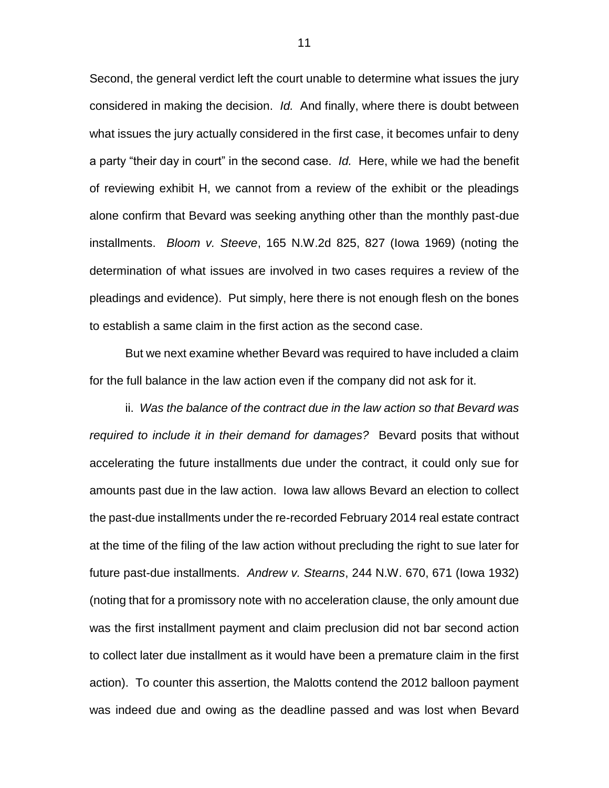Second, the general verdict left the court unable to determine what issues the jury considered in making the decision. *Id.* And finally, where there is doubt between what issues the jury actually considered in the first case, it becomes unfair to deny a party "their day in court" in the second case. *Id.* Here, while we had the benefit of reviewing exhibit H, we cannot from a review of the exhibit or the pleadings alone confirm that Bevard was seeking anything other than the monthly past-due installments. *Bloom v. Steeve*, 165 N.W.2d 825, 827 (Iowa 1969) (noting the determination of what issues are involved in two cases requires a review of the pleadings and evidence). Put simply, here there is not enough flesh on the bones to establish a same claim in the first action as the second case.

But we next examine whether Bevard was required to have included a claim for the full balance in the law action even if the company did not ask for it.

ii. *Was the balance of the contract due in the law action so that Bevard was required to include it in their demand for damages?* Bevard posits that without accelerating the future installments due under the contract, it could only sue for amounts past due in the law action. Iowa law allows Bevard an election to collect the past-due installments under the re-recorded February 2014 real estate contract at the time of the filing of the law action without precluding the right to sue later for future past-due installments. *Andrew v. Stearns*, 244 N.W. 670, 671 (Iowa 1932) (noting that for a promissory note with no acceleration clause, the only amount due was the first installment payment and claim preclusion did not bar second action to collect later due installment as it would have been a premature claim in the first action). To counter this assertion, the Malotts contend the 2012 balloon payment was indeed due and owing as the deadline passed and was lost when Bevard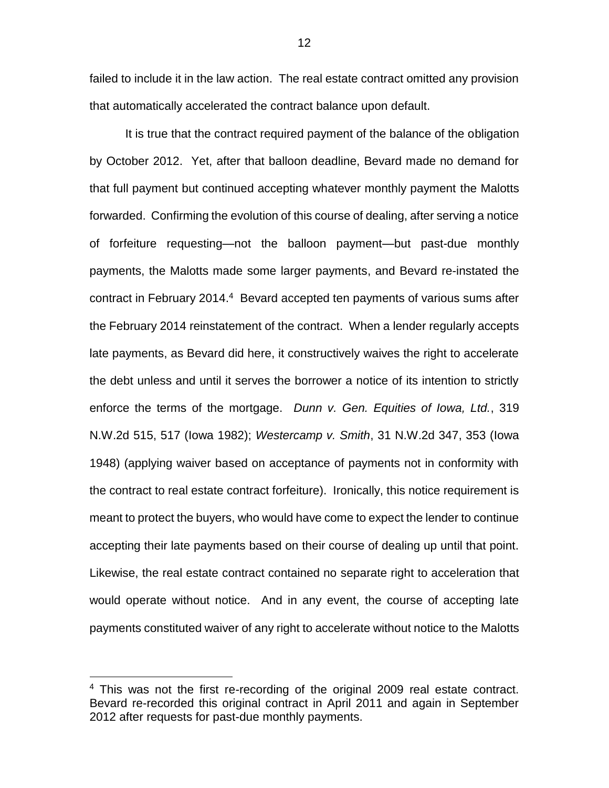failed to include it in the law action. The real estate contract omitted any provision that automatically accelerated the contract balance upon default.

It is true that the contract required payment of the balance of the obligation by October 2012. Yet, after that balloon deadline, Bevard made no demand for that full payment but continued accepting whatever monthly payment the Malotts forwarded. Confirming the evolution of this course of dealing, after serving a notice of forfeiture requesting—not the balloon payment—but past-due monthly payments, the Malotts made some larger payments, and Bevard re-instated the contract in February 2014.<sup>4</sup> Bevard accepted ten payments of various sums after the February 2014 reinstatement of the contract. When a lender regularly accepts late payments, as Bevard did here, it constructively waives the right to accelerate the debt unless and until it serves the borrower a notice of its intention to strictly enforce the terms of the mortgage. *Dunn v. Gen. Equities of Iowa, Ltd.*, 319 N.W.2d 515, 517 (Iowa 1982); *Westercamp v. Smith*, 31 N.W.2d 347, 353 (Iowa 1948) (applying waiver based on acceptance of payments not in conformity with the contract to real estate contract forfeiture). Ironically, this notice requirement is meant to protect the buyers, who would have come to expect the lender to continue accepting their late payments based on their course of dealing up until that point. Likewise, the real estate contract contained no separate right to acceleration that would operate without notice. And in any event, the course of accepting late payments constituted waiver of any right to accelerate without notice to the Malotts

 $\overline{a}$ 

<sup>&</sup>lt;sup>4</sup> This was not the first re-recording of the original 2009 real estate contract. Bevard re-recorded this original contract in April 2011 and again in September 2012 after requests for past-due monthly payments.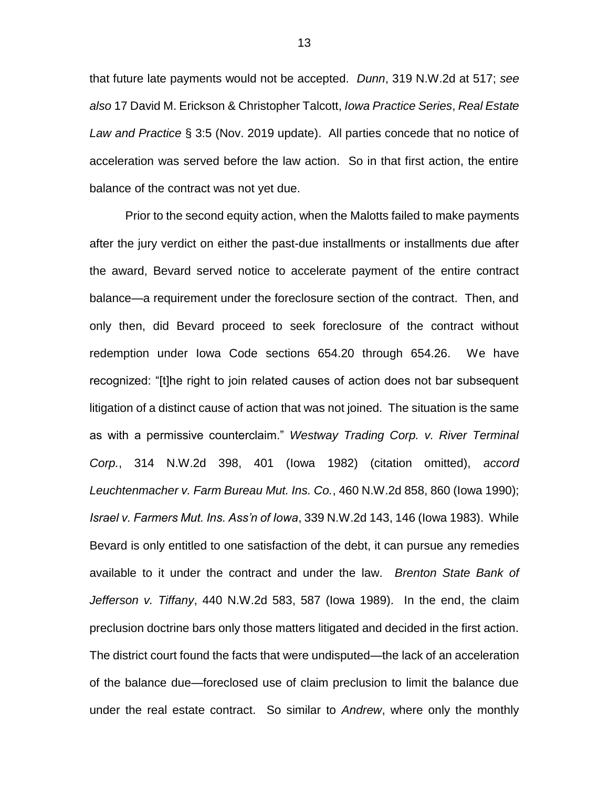that future late payments would not be accepted. *Dunn*, 319 N.W.2d at 517; *see also* 17 David M. Erickson & Christopher Talcott, *Iowa Practice Series*, *Real Estate Law and Practice* § 3:5 (Nov. 2019 update). All parties concede that no notice of acceleration was served before the law action. So in that first action, the entire balance of the contract was not yet due.

Prior to the second equity action, when the Malotts failed to make payments after the jury verdict on either the past-due installments or installments due after the award, Bevard served notice to accelerate payment of the entire contract balance—a requirement under the foreclosure section of the contract. Then, and only then, did Bevard proceed to seek foreclosure of the contract without redemption under Iowa Code sections 654.20 through 654.26. We have recognized: "[t]he right to join related causes of action does not bar subsequent litigation of a distinct cause of action that was not joined. The situation is the same as with a permissive counterclaim." *Westway Trading Corp. v. River Terminal Corp.*, 314 N.W.2d 398, 401 (Iowa 1982) (citation omitted), *accord Leuchtenmacher v. Farm Bureau Mut. Ins. Co.*, 460 N.W.2d 858, 860 (Iowa 1990); *Israel v. Farmers Mut. Ins. Ass'n of Iowa*, 339 N.W.2d 143, 146 (Iowa 1983). While Bevard is only entitled to one satisfaction of the debt, it can pursue any remedies available to it under the contract and under the law. *Brenton State Bank of Jefferson v. Tiffany*, 440 N.W.2d 583, 587 (Iowa 1989). In the end, the claim preclusion doctrine bars only those matters litigated and decided in the first action. The district court found the facts that were undisputed—the lack of an acceleration of the balance due—foreclosed use of claim preclusion to limit the balance due under the real estate contract. So similar to *Andrew*, where only the monthly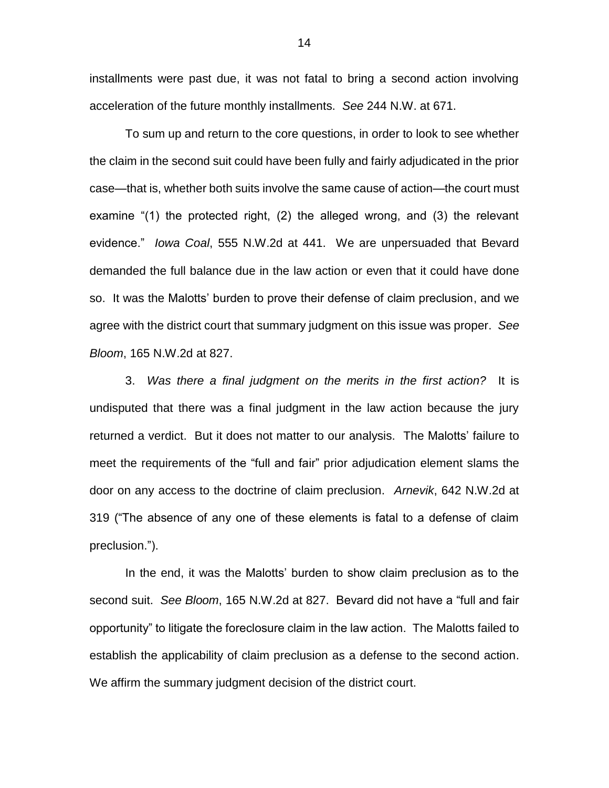installments were past due, it was not fatal to bring a second action involving acceleration of the future monthly installments. *See* 244 N.W. at 671.

To sum up and return to the core questions, in order to look to see whether the claim in the second suit could have been fully and fairly adjudicated in the prior case—that is, whether both suits involve the same cause of action—the court must examine "(1) the protected right, (2) the alleged wrong, and (3) the relevant evidence." *Iowa Coal*, 555 N.W.2d at 441. We are unpersuaded that Bevard demanded the full balance due in the law action or even that it could have done so. It was the Malotts' burden to prove their defense of claim preclusion, and we agree with the district court that summary judgment on this issue was proper. *See Bloom*, 165 N.W.2d at 827.

3. *Was there a final judgment on the merits in the first action?* It is undisputed that there was a final judgment in the law action because the jury returned a verdict. But it does not matter to our analysis. The Malotts' failure to meet the requirements of the "full and fair" prior adjudication element slams the door on any access to the doctrine of claim preclusion. *Arnevik*, 642 N.W.2d at 319 ("The absence of any one of these elements is fatal to a defense of claim preclusion.").

In the end, it was the Malotts' burden to show claim preclusion as to the second suit. *See Bloom*, 165 N.W.2d at 827. Bevard did not have a "full and fair opportunity" to litigate the foreclosure claim in the law action. The Malotts failed to establish the applicability of claim preclusion as a defense to the second action. We affirm the summary judgment decision of the district court.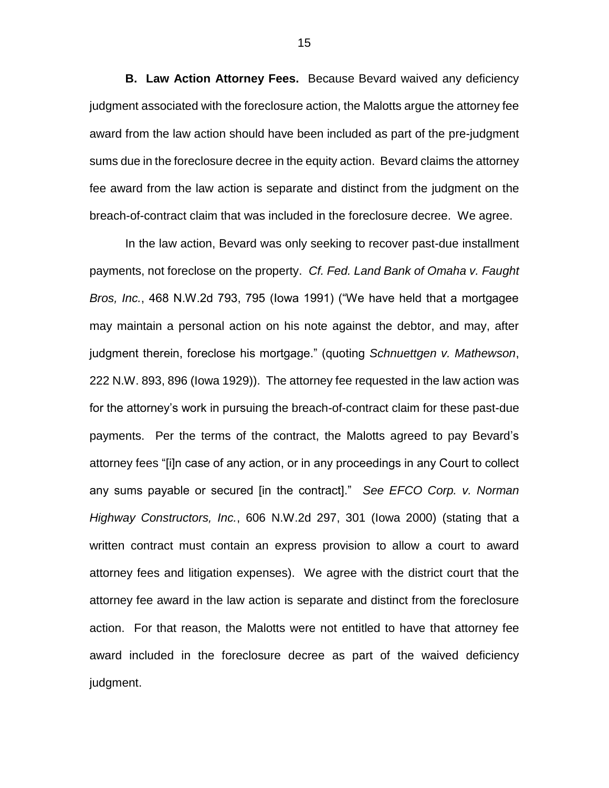**B. Law Action Attorney Fees.** Because Bevard waived any deficiency judgment associated with the foreclosure action, the Malotts argue the attorney fee award from the law action should have been included as part of the pre-judgment sums due in the foreclosure decree in the equity action. Bevard claims the attorney fee award from the law action is separate and distinct from the judgment on the breach-of-contract claim that was included in the foreclosure decree. We agree.

In the law action, Bevard was only seeking to recover past-due installment payments, not foreclose on the property. *Cf. Fed. Land Bank of Omaha v. Faught Bros, Inc.*, 468 N.W.2d 793, 795 (Iowa 1991) ("We have held that a mortgagee may maintain a personal action on his note against the debtor, and may, after judgment therein, foreclose his mortgage." (quoting *Schnuettgen v. Mathewson*, 222 N.W. 893, 896 (Iowa 1929)). The attorney fee requested in the law action was for the attorney's work in pursuing the breach-of-contract claim for these past-due payments. Per the terms of the contract, the Malotts agreed to pay Bevard's attorney fees "[i]n case of any action, or in any proceedings in any Court to collect any sums payable or secured [in the contract]." *See EFCO Corp. v. Norman Highway Constructors, Inc.*, 606 N.W.2d 297, 301 (Iowa 2000) (stating that a written contract must contain an express provision to allow a court to award attorney fees and litigation expenses). We agree with the district court that the attorney fee award in the law action is separate and distinct from the foreclosure action. For that reason, the Malotts were not entitled to have that attorney fee award included in the foreclosure decree as part of the waived deficiency judgment.